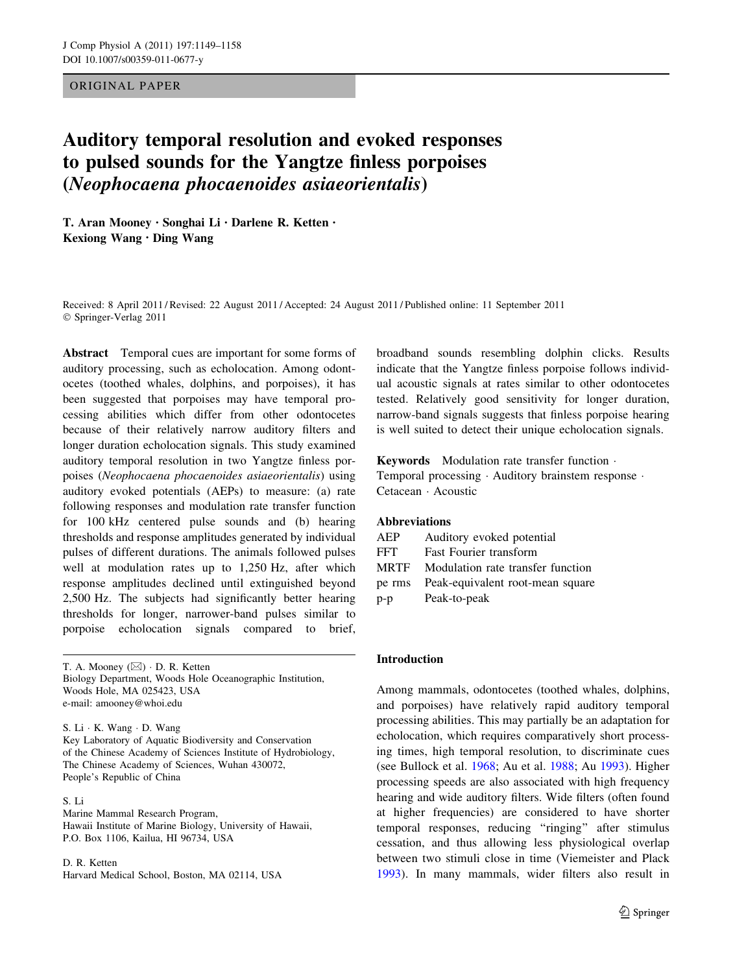## ORIGINAL PAPER

# Auditory temporal resolution and evoked responses to pulsed sounds for the Yangtze finless porpoises (Neophocaena phocaenoides asiaeorientalis)

T. Aran Mooney • Songhai Li • Darlene R. Ketten • Kexiong Wang • Ding Wang

Received: 8 April 2011 / Revised: 22 August 2011 / Accepted: 24 August 2011 / Published online: 11 September 2011 © Springer-Verlag 2011

Abstract Temporal cues are important for some forms of auditory processing, such as echolocation. Among odontocetes (toothed whales, dolphins, and porpoises), it has been suggested that porpoises may have temporal processing abilities which differ from other odontocetes because of their relatively narrow auditory filters and longer duration echolocation signals. This study examined auditory temporal resolution in two Yangtze finless porpoises (Neophocaena phocaenoides asiaeorientalis) using auditory evoked potentials (AEPs) to measure: (a) rate following responses and modulation rate transfer function for 100 kHz centered pulse sounds and (b) hearing thresholds and response amplitudes generated by individual pulses of different durations. The animals followed pulses well at modulation rates up to 1,250 Hz, after which response amplitudes declined until extinguished beyond 2,500 Hz. The subjects had significantly better hearing thresholds for longer, narrower-band pulses similar to porpoise echolocation signals compared to brief,

T. A. Mooney  $(\boxtimes) \cdot$  D. R. Ketten Biology Department, Woods Hole Oceanographic Institution, Woods Hole, MA 025423, USA e-mail: amooney@whoi.edu

S. Li - K. Wang - D. Wang Key Laboratory of Aquatic Biodiversity and Conservation of the Chinese Academy of Sciences Institute of Hydrobiology, The Chinese Academy of Sciences, Wuhan 430072,

#### S. Li

People's Republic of China

Marine Mammal Research Program, Hawaii Institute of Marine Biology, University of Hawaii, P.O. Box 1106, Kailua, HI 96734, USA

D. R. Ketten Harvard Medical School, Boston, MA 02114, USA broadband sounds resembling dolphin clicks. Results indicate that the Yangtze finless porpoise follows individual acoustic signals at rates similar to other odontocetes tested. Relatively good sensitivity for longer duration, narrow-band signals suggests that finless porpoise hearing is well suited to detect their unique echolocation signals.

Keywords Modulation rate transfer function - Temporal processing - Auditory brainstem response - Cetacean - Acoustic

# Abbreviations

| AEP         | Auditory evoked potential         |
|-------------|-----------------------------------|
| <b>FFT</b>  | <b>Fast Fourier transform</b>     |
| <b>MRTF</b> | Modulation rate transfer function |
| pe rms      | Peak-equivalent root-mean square  |
| $p-p$       | Peak-to-peak                      |

### Introduction

Among mammals, odontocetes (toothed whales, dolphins, and porpoises) have relatively rapid auditory temporal processing abilities. This may partially be an adaptation for echolocation, which requires comparatively short processing times, high temporal resolution, to discriminate cues (see Bullock et al. [1968;](#page-8-0) Au et al. [1988;](#page-8-0) Au [1993\)](#page-8-0). Higher processing speeds are also associated with high frequency hearing and wide auditory filters. Wide filters (often found at higher frequencies) are considered to have shorter temporal responses, reducing "ringing" after stimulus cessation, and thus allowing less physiological overlap between two stimuli close in time (Viemeister and Plack [1993](#page-9-0)). In many mammals, wider filters also result in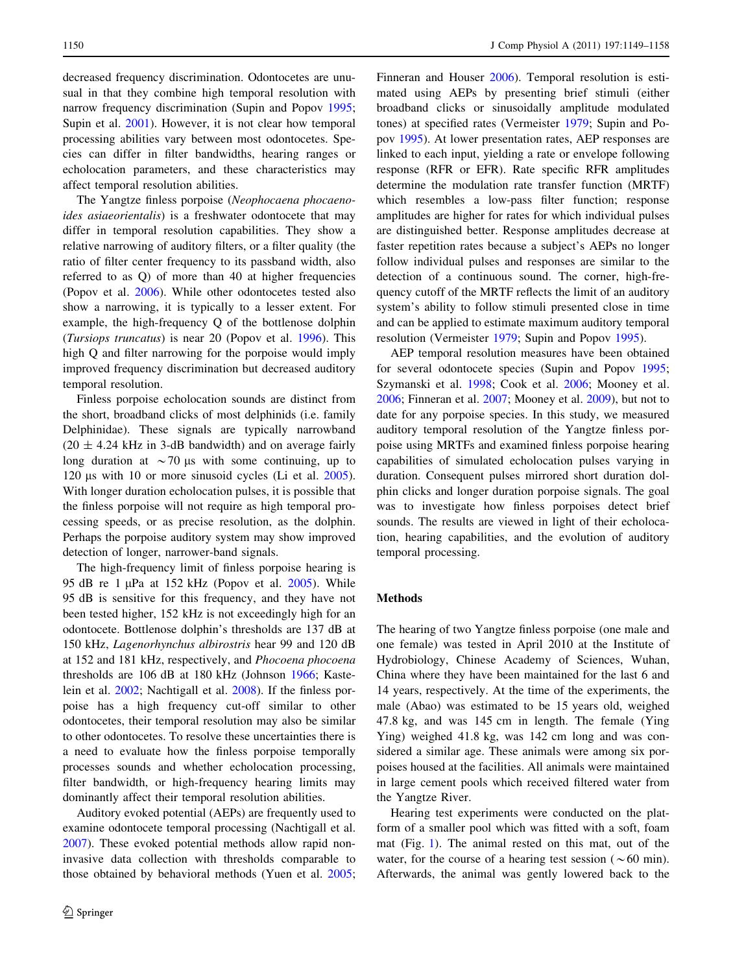decreased frequency discrimination. Odontocetes are unusual in that they combine high temporal resolution with narrow frequency discrimination (Supin and Popov [1995](#page-9-0); Supin et al. [2001\)](#page-9-0). However, it is not clear how temporal processing abilities vary between most odontocetes. Species can differ in filter bandwidths, hearing ranges or echolocation parameters, and these characteristics may affect temporal resolution abilities.

The Yangtze finless porpoise (Neophocaena phocaenoides asiaeorientalis) is a freshwater odontocete that may differ in temporal resolution capabilities. They show a relative narrowing of auditory filters, or a filter quality (the ratio of filter center frequency to its passband width, also referred to as Q) of more than 40 at higher frequencies (Popov et al. [2006\)](#page-9-0). While other odontocetes tested also show a narrowing, it is typically to a lesser extent. For example, the high-frequency Q of the bottlenose dolphin (Tursiops truncatus) is near 20 (Popov et al. [1996\)](#page-9-0). This high Q and filter narrowing for the porpoise would imply improved frequency discrimination but decreased auditory temporal resolution.

Finless porpoise echolocation sounds are distinct from the short, broadband clicks of most delphinids (i.e. family Delphinidae). These signals are typically narrowband  $(20 \pm 4.24 \text{ kHz} \text{ in } 3\text{-dB}$  bandwidth) and on average fairly long duration at  $\sim$  70 µs with some continuing, up to 120  $\mu$ s with 10 or more sinusoid cycles (Li et al. [2005](#page-8-0)). With longer duration echolocation pulses, it is possible that the finless porpoise will not require as high temporal processing speeds, or as precise resolution, as the dolphin. Perhaps the porpoise auditory system may show improved detection of longer, narrower-band signals.

The high-frequency limit of finless porpoise hearing is 95 dB re 1  $\mu$ Pa at 152 kHz (Popov et al. [2005\)](#page-9-0). While 95 dB is sensitive for this frequency, and they have not been tested higher, 152 kHz is not exceedingly high for an odontocete. Bottlenose dolphin's thresholds are 137 dB at 150 kHz, Lagenorhynchus albirostris hear 99 and 120 dB at 152 and 181 kHz, respectively, and Phocoena phocoena thresholds are 106 dB at 180 kHz (Johnson [1966](#page-8-0); Kastelein et al. [2002](#page-8-0); Nachtigall et al. [2008\)](#page-8-0). If the finless porpoise has a high frequency cut-off similar to other odontocetes, their temporal resolution may also be similar to other odontocetes. To resolve these uncertainties there is a need to evaluate how the finless porpoise temporally processes sounds and whether echolocation processing, filter bandwidth, or high-frequency hearing limits may dominantly affect their temporal resolution abilities.

Auditory evoked potential (AEPs) are frequently used to examine odontocete temporal processing (Nachtigall et al. [2007\)](#page-8-0). These evoked potential methods allow rapid noninvasive data collection with thresholds comparable to those obtained by behavioral methods (Yuen et al. [2005](#page-9-0); Finneran and Houser [2006\)](#page-8-0). Temporal resolution is estimated using AEPs by presenting brief stimuli (either broadband clicks or sinusoidally amplitude modulated tones) at specified rates (Vermeister [1979;](#page-9-0) Supin and Popov [1995](#page-9-0)). At lower presentation rates, AEP responses are linked to each input, yielding a rate or envelope following response (RFR or EFR). Rate specific RFR amplitudes determine the modulation rate transfer function (MRTF) which resembles a low-pass filter function; response amplitudes are higher for rates for which individual pulses are distinguished better. Response amplitudes decrease at faster repetition rates because a subject's AEPs no longer follow individual pulses and responses are similar to the detection of a continuous sound. The corner, high-frequency cutoff of the MRTF reflects the limit of an auditory system's ability to follow stimuli presented close in time and can be applied to estimate maximum auditory temporal resolution (Vermeister [1979;](#page-9-0) Supin and Popov [1995\)](#page-9-0).

AEP temporal resolution measures have been obtained for several odontocete species (Supin and Popov [1995](#page-9-0); Szymanski et al. [1998;](#page-9-0) Cook et al. [2006](#page-8-0); Mooney et al. [2006](#page-8-0); Finneran et al. [2007;](#page-8-0) Mooney et al. [2009\)](#page-8-0), but not to date for any porpoise species. In this study, we measured auditory temporal resolution of the Yangtze finless porpoise using MRTFs and examined finless porpoise hearing capabilities of simulated echolocation pulses varying in duration. Consequent pulses mirrored short duration dolphin clicks and longer duration porpoise signals. The goal was to investigate how finless porpoises detect brief sounds. The results are viewed in light of their echolocation, hearing capabilities, and the evolution of auditory temporal processing.

# **Methods**

The hearing of two Yangtze finless porpoise (one male and one female) was tested in April 2010 at the Institute of Hydrobiology, Chinese Academy of Sciences, Wuhan, China where they have been maintained for the last 6 and 14 years, respectively. At the time of the experiments, the male (Abao) was estimated to be 15 years old, weighed 47.8 kg, and was 145 cm in length. The female (Ying Ying) weighed 41.8 kg, was 142 cm long and was considered a similar age. These animals were among six porpoises housed at the facilities. All animals were maintained in large cement pools which received filtered water from the Yangtze River.

Hearing test experiments were conducted on the platform of a smaller pool which was fitted with a soft, foam mat (Fig. [1](#page-2-0)). The animal rested on this mat, out of the water, for the course of a hearing test session ( $\sim 60$  min). Afterwards, the animal was gently lowered back to the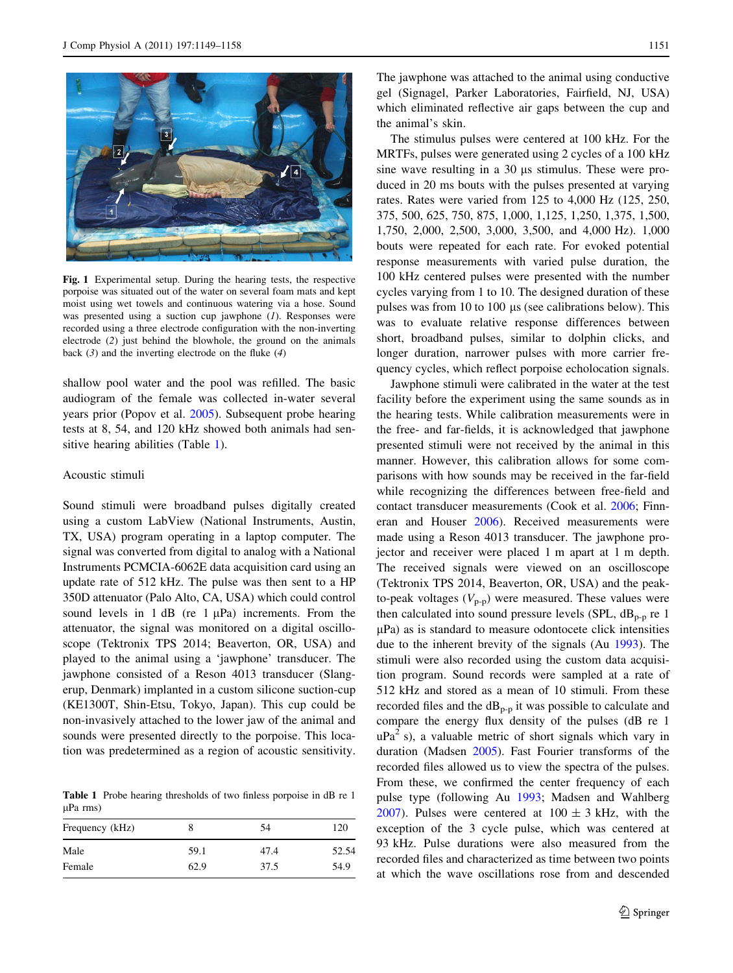<span id="page-2-0"></span>

Fig. 1 Experimental setup. During the hearing tests, the respective porpoise was situated out of the water on several foam mats and kept moist using wet towels and continuous watering via a hose. Sound was presented using a suction cup jawphone  $(1)$ . Responses were recorded using a three electrode configuration with the non-inverting electrode (2) just behind the blowhole, the ground on the animals back  $(3)$  and the inverting electrode on the fluke  $(4)$ 

shallow pool water and the pool was refilled. The basic audiogram of the female was collected in-water several years prior (Popov et al. [2005](#page-9-0)). Subsequent probe hearing tests at 8, 54, and 120 kHz showed both animals had sensitive hearing abilities (Table 1).

## Acoustic stimuli

Sound stimuli were broadband pulses digitally created using a custom LabView (National Instruments, Austin, TX, USA) program operating in a laptop computer. The signal was converted from digital to analog with a National Instruments PCMCIA-6062E data acquisition card using an update rate of 512 kHz. The pulse was then sent to a HP 350D attenuator (Palo Alto, CA, USA) which could control sound levels in 1 dB (re  $1 \mu Pa$ ) increments. From the attenuator, the signal was monitored on a digital oscilloscope (Tektronix TPS 2014; Beaverton, OR, USA) and played to the animal using a 'jawphone' transducer. The jawphone consisted of a Reson 4013 transducer (Slangerup, Denmark) implanted in a custom silicone suction-cup (KE1300T, Shin-Etsu, Tokyo, Japan). This cup could be non-invasively attached to the lower jaw of the animal and sounds were presented directly to the porpoise. This location was predetermined as a region of acoustic sensitivity.

Table 1 Probe hearing thresholds of two finless porpoise in dB re 1  $\mu$ Pa rms)

| Frequency (kHz) |      | 54   | 120   |
|-----------------|------|------|-------|
| Male            | 59.1 | 47.4 | 52.54 |
| Female          | 62.9 | 37.5 | 54.9  |

The jawphone was attached to the animal using conductive gel (Signagel, Parker Laboratories, Fairfield, NJ, USA) which eliminated reflective air gaps between the cup and the animal's skin.

The stimulus pulses were centered at 100 kHz. For the MRTFs, pulses were generated using 2 cycles of a 100 kHz sine wave resulting in a 30 µs stimulus. These were produced in 20 ms bouts with the pulses presented at varying rates. Rates were varied from 125 to 4,000 Hz (125, 250, 375, 500, 625, 750, 875, 1,000, 1,125, 1,250, 1,375, 1,500, 1,750, 2,000, 2,500, 3,000, 3,500, and 4,000 Hz). 1,000 bouts were repeated for each rate. For evoked potential response measurements with varied pulse duration, the 100 kHz centered pulses were presented with the number cycles varying from 1 to 10. The designed duration of these pulses was from 10 to 100  $\mu$ s (see calibrations below). This was to evaluate relative response differences between short, broadband pulses, similar to dolphin clicks, and longer duration, narrower pulses with more carrier frequency cycles, which reflect porpoise echolocation signals.

Jawphone stimuli were calibrated in the water at the test facility before the experiment using the same sounds as in the hearing tests. While calibration measurements were in the free- and far-fields, it is acknowledged that jawphone presented stimuli were not received by the animal in this manner. However, this calibration allows for some comparisons with how sounds may be received in the far-field while recognizing the differences between free-field and contact transducer measurements (Cook et al. [2006](#page-8-0); Finneran and Houser [2006](#page-8-0)). Received measurements were made using a Reson 4013 transducer. The jawphone projector and receiver were placed 1 m apart at 1 m depth. The received signals were viewed on an oscilloscope (Tektronix TPS 2014, Beaverton, OR, USA) and the peakto-peak voltages  $(V_{p-p})$  were measured. These values were then calculated into sound pressure levels (SPL,  $dB_{p-p}$  re 1  $\mu$ Pa) as is standard to measure odontocete click intensities due to the inherent brevity of the signals (Au [1993](#page-8-0)). The stimuli were also recorded using the custom data acquisition program. Sound records were sampled at a rate of 512 kHz and stored as a mean of 10 stimuli. From these recorded files and the  $dB_{p-p}$  it was possible to calculate and compare the energy flux density of the pulses (dB re 1  $uPa<sup>2</sup>$  s), a valuable metric of short signals which vary in duration (Madsen [2005](#page-8-0)). Fast Fourier transforms of the recorded files allowed us to view the spectra of the pulses. From these, we confirmed the center frequency of each pulse type (following Au [1993;](#page-8-0) Madsen and Wahlberg [2007](#page-8-0)). Pulses were centered at  $100 \pm 3$  kHz, with the exception of the 3 cycle pulse, which was centered at 93 kHz. Pulse durations were also measured from the recorded files and characterized as time between two points at which the wave oscillations rose from and descended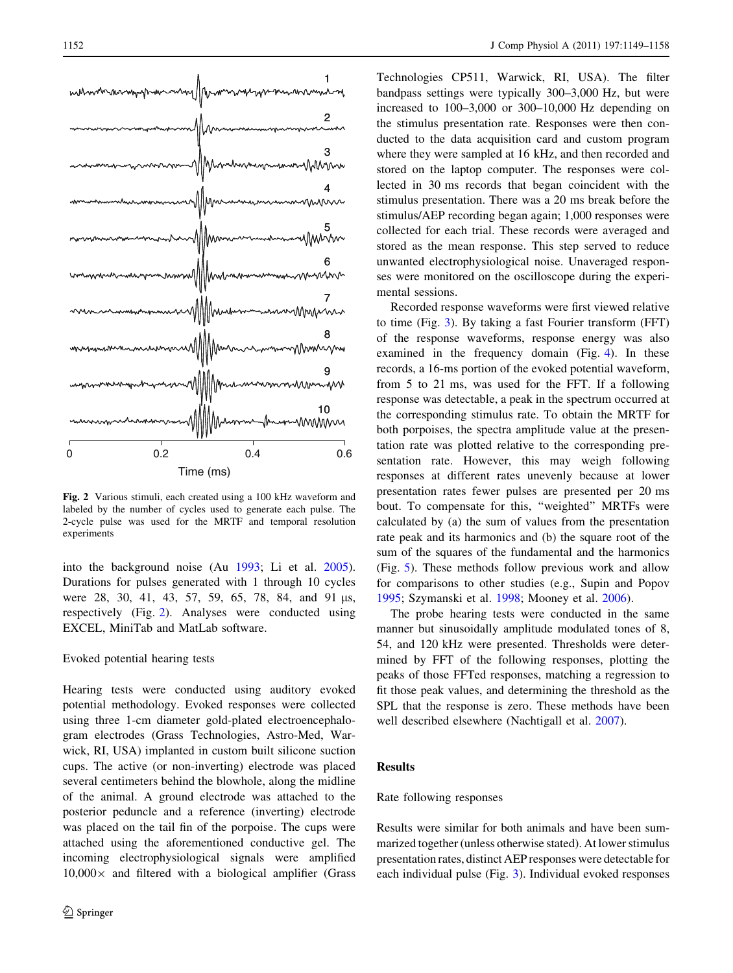

Fig. 2 Various stimuli, each created using a 100 kHz waveform and labeled by the number of cycles used to generate each pulse. The 2-cycle pulse was used for the MRTF and temporal resolution experiments

into the background noise (Au [1993](#page-8-0); Li et al. [2005](#page-8-0)). Durations for pulses generated with 1 through 10 cycles were 28, 30, 41, 43, 57, 59, 65, 78, 84, and 91 µs, respectively (Fig. 2). Analyses were conducted using EXCEL, MiniTab and MatLab software.

## Evoked potential hearing tests

Hearing tests were conducted using auditory evoked potential methodology. Evoked responses were collected using three 1-cm diameter gold-plated electroencephalogram electrodes (Grass Technologies, Astro-Med, Warwick, RI, USA) implanted in custom built silicone suction cups. The active (or non-inverting) electrode was placed several centimeters behind the blowhole, along the midline of the animal. A ground electrode was attached to the posterior peduncle and a reference (inverting) electrode was placed on the tail fin of the porpoise. The cups were attached using the aforementioned conductive gel. The incoming electrophysiological signals were amplified  $10,000\times$  and filtered with a biological amplifier (Grass

Technologies CP511, Warwick, RI, USA). The filter bandpass settings were typically 300–3,000 Hz, but were increased to 100–3,000 or 300–10,000 Hz depending on the stimulus presentation rate. Responses were then conducted to the data acquisition card and custom program where they were sampled at 16 kHz, and then recorded and stored on the laptop computer. The responses were collected in 30 ms records that began coincident with the stimulus presentation. There was a 20 ms break before the stimulus/AEP recording began again; 1,000 responses were collected for each trial. These records were averaged and stored as the mean response. This step served to reduce unwanted electrophysiological noise. Unaveraged responses were monitored on the oscilloscope during the experimental sessions.

Recorded response waveforms were first viewed relative to time (Fig. [3](#page-4-0)). By taking a fast Fourier transform (FFT) of the response waveforms, response energy was also examined in the frequency domain (Fig. [4](#page-4-0)). In these records, a 16-ms portion of the evoked potential waveform, from 5 to 21 ms, was used for the FFT. If a following response was detectable, a peak in the spectrum occurred at the corresponding stimulus rate. To obtain the MRTF for both porpoises, the spectra amplitude value at the presentation rate was plotted relative to the corresponding presentation rate. However, this may weigh following responses at different rates unevenly because at lower presentation rates fewer pulses are presented per 20 ms bout. To compensate for this, ''weighted'' MRTFs were calculated by (a) the sum of values from the presentation rate peak and its harmonics and (b) the square root of the sum of the squares of the fundamental and the harmonics (Fig. [5\)](#page-5-0). These methods follow previous work and allow for comparisons to other studies (e.g., Supin and Popov [1995](#page-9-0); Szymanski et al. [1998](#page-9-0); Mooney et al. [2006](#page-8-0)).

The probe hearing tests were conducted in the same manner but sinusoidally amplitude modulated tones of 8, 54, and 120 kHz were presented. Thresholds were determined by FFT of the following responses, plotting the peaks of those FFTed responses, matching a regression to fit those peak values, and determining the threshold as the SPL that the response is zero. These methods have been well described elsewhere (Nachtigall et al. [2007\)](#page-8-0).

# Results

# Rate following responses

Results were similar for both animals and have been summarized together (unless otherwise stated). At lower stimulus presentation rates, distinct AEP responses were detectable for each individual pulse (Fig. [3\)](#page-4-0). Individual evoked responses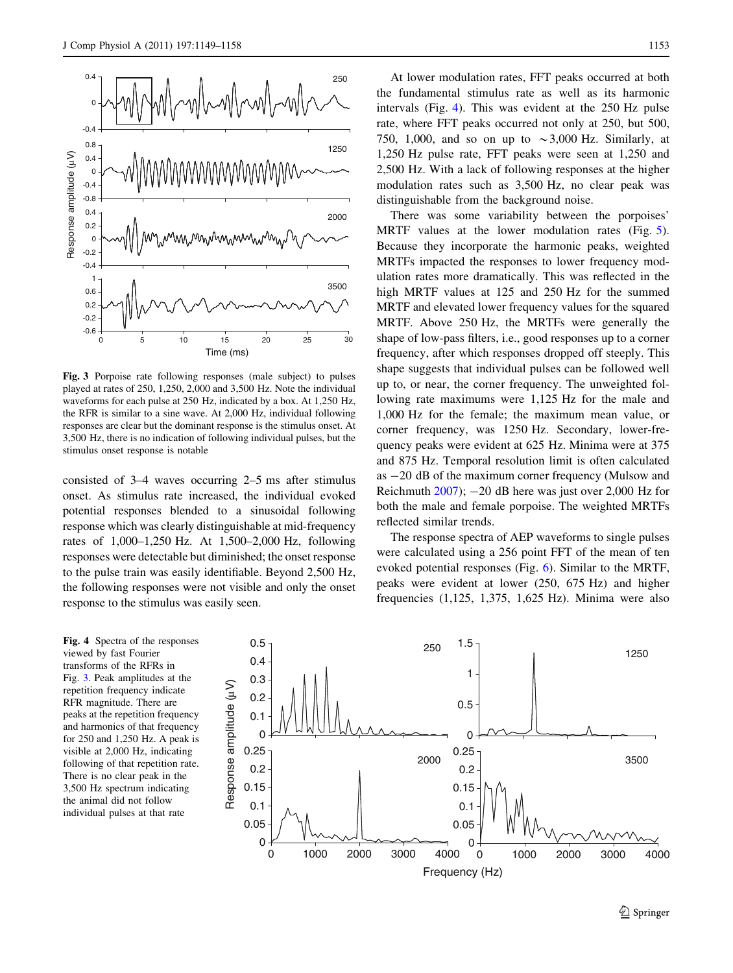<span id="page-4-0"></span>

Fig. 3 Porpoise rate following responses (male subject) to pulses played at rates of 250, 1,250, 2,000 and 3,500 Hz. Note the individual waveforms for each pulse at 250 Hz, indicated by a box. At 1,250 Hz, the RFR is similar to a sine wave. At 2,000 Hz, individual following responses are clear but the dominant response is the stimulus onset. At 3,500 Hz, there is no indication of following individual pulses, but the stimulus onset response is notable

consisted of 3–4 waves occurring 2–5 ms after stimulus onset. As stimulus rate increased, the individual evoked potential responses blended to a sinusoidal following response which was clearly distinguishable at mid-frequency rates of 1,000–1,250 Hz. At 1,500–2,000 Hz, following responses were detectable but diminished; the onset response to the pulse train was easily identifiable. Beyond 2,500 Hz, the following responses were not visible and only the onset response to the stimulus was easily seen.

At lower modulation rates, FFT peaks occurred at both the fundamental stimulus rate as well as its harmonic intervals (Fig. 4). This was evident at the 250 Hz pulse rate, where FFT peaks occurred not only at 250, but 500, 750, 1,000, and so on up to  $\sim$ 3,000 Hz. Similarly, at 1,250 Hz pulse rate, FFT peaks were seen at 1,250 and 2,500 Hz. With a lack of following responses at the higher modulation rates such as 3,500 Hz, no clear peak was distinguishable from the background noise.

There was some variability between the porpoises' MRTF values at the lower modulation rates (Fig. [5](#page-5-0)). Because they incorporate the harmonic peaks, weighted MRTFs impacted the responses to lower frequency modulation rates more dramatically. This was reflected in the high MRTF values at 125 and 250 Hz for the summed MRTF and elevated lower frequency values for the squared MRTF. Above 250 Hz, the MRTFs were generally the shape of low-pass filters, i.e., good responses up to a corner frequency, after which responses dropped off steeply. This shape suggests that individual pulses can be followed well up to, or near, the corner frequency. The unweighted following rate maximums were 1,125 Hz for the male and 1,000 Hz for the female; the maximum mean value, or corner frequency, was 1250 Hz. Secondary, lower-frequency peaks were evident at 625 Hz. Minima were at 375 and 875 Hz. Temporal resolution limit is often calculated as  $-20$  dB of the maximum corner frequency (Mulsow and Reichmuth  $2007$ ;  $-20$  dB here was just over 2,000 Hz for both the male and female porpoise. The weighted MRTFs reflected similar trends.

The response spectra of AEP waveforms to single pulses were calculated using a 256 point FFT of the mean of ten evoked potential responses (Fig. [6](#page-5-0)). Similar to the MRTF, peaks were evident at lower (250, 675 Hz) and higher frequencies (1,125, 1,375, 1,625 Hz). Minima were also

Fig. 4 Spectra of the responses viewed by fast Fourier transforms of the RFRs in Fig. 3. Peak amplitudes at the repetition frequency indicate RFR magnitude. There are peaks at the repetition frequency and harmonics of that frequency for 250 and 1,250 Hz. A peak is visible at 2,000 Hz, indicating following of that repetition rate. There is no clear peak in the 3,500 Hz spectrum indicating the animal did not follow individual pulses at that rate

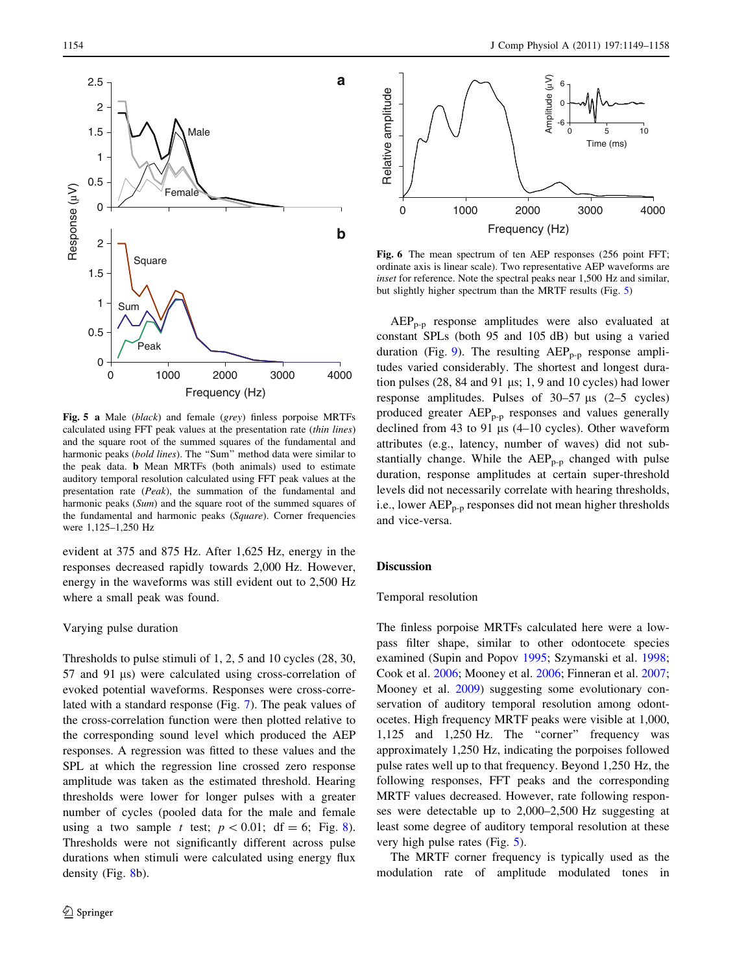<span id="page-5-0"></span>

Fig. 5 a Male (black) and female (grey) finless porpoise MRTFs calculated using FFT peak values at the presentation rate (thin lines) and the square root of the summed squares of the fundamental and harmonic peaks (bold lines). The "Sum" method data were similar to the peak data. b Mean MRTFs (both animals) used to estimate auditory temporal resolution calculated using FFT peak values at the presentation rate (Peak), the summation of the fundamental and harmonic peaks (Sum) and the square root of the summed squares of the fundamental and harmonic peaks (Square). Corner frequencies were 1,125–1,250 Hz

evident at 375 and 875 Hz. After 1,625 Hz, energy in the responses decreased rapidly towards 2,000 Hz. However, energy in the waveforms was still evident out to 2,500 Hz where a small peak was found.

#### Varying pulse duration

Thresholds to pulse stimuli of 1, 2, 5 and 10 cycles (28, 30, 57 and 91 µs) were calculated using cross-correlation of evoked potential waveforms. Responses were cross-correlated with a standard response (Fig. [7](#page-6-0)). The peak values of the cross-correlation function were then plotted relative to the corresponding sound level which produced the AEP responses. A regression was fitted to these values and the SPL at which the regression line crossed zero response amplitude was taken as the estimated threshold. Hearing thresholds were lower for longer pulses with a greater number of cycles (pooled data for the male and female using a two sample t test;  $p < 0.01$ ; df = 6; Fig. [8](#page-6-0)). Thresholds were not significantly different across pulse durations when stimuli were calculated using energy flux density (Fig. [8b](#page-6-0)).



Fig. 6 The mean spectrum of ten AEP responses (256 point FFT; ordinate axis is linear scale). Two representative AEP waveforms are inset for reference. Note the spectral peaks near 1,500 Hz and similar, but slightly higher spectrum than the MRTF results (Fig. 5)

AEPp-p response amplitudes were also evaluated at constant SPLs (both 95 and 105 dB) but using a varied duration (Fig. [9](#page-6-0)). The resulting  $AEP_{p-p}$  response amplitudes varied considerably. The shortest and longest duration pulses  $(28, 84 \text{ and } 91 \text{ µs}; 1, 9 \text{ and } 10 \text{ cycles})$  had lower response amplitudes. Pulses of  $30-57 \text{ }\mu\text{s}$  (2–5 cycles) produced greater  $AEP_{p-p}$  responses and values generally declined from 43 to 91  $\mu$ s (4–10 cycles). Other waveform attributes (e.g., latency, number of waves) did not substantially change. While the  $AEP_{p-p}$  changed with pulse duration, response amplitudes at certain super-threshold levels did not necessarily correlate with hearing thresholds, i.e., lower  $AEP_{p-p}$  responses did not mean higher thresholds and vice-versa.

#### **Discussion**

## Temporal resolution

The finless porpoise MRTFs calculated here were a lowpass filter shape, similar to other odontocete species examined (Supin and Popov [1995;](#page-9-0) Szymanski et al. [1998](#page-9-0); Cook et al. [2006](#page-8-0); Mooney et al. [2006;](#page-8-0) Finneran et al. [2007](#page-8-0); Mooney et al. [2009](#page-8-0)) suggesting some evolutionary conservation of auditory temporal resolution among odontocetes. High frequency MRTF peaks were visible at 1,000, 1,125 and 1,250 Hz. The ''corner'' frequency was approximately 1,250 Hz, indicating the porpoises followed pulse rates well up to that frequency. Beyond 1,250 Hz, the following responses, FFT peaks and the corresponding MRTF values decreased. However, rate following responses were detectable up to 2,000–2,500 Hz suggesting at least some degree of auditory temporal resolution at these very high pulse rates (Fig. 5).

The MRTF corner frequency is typically used as the modulation rate of amplitude modulated tones in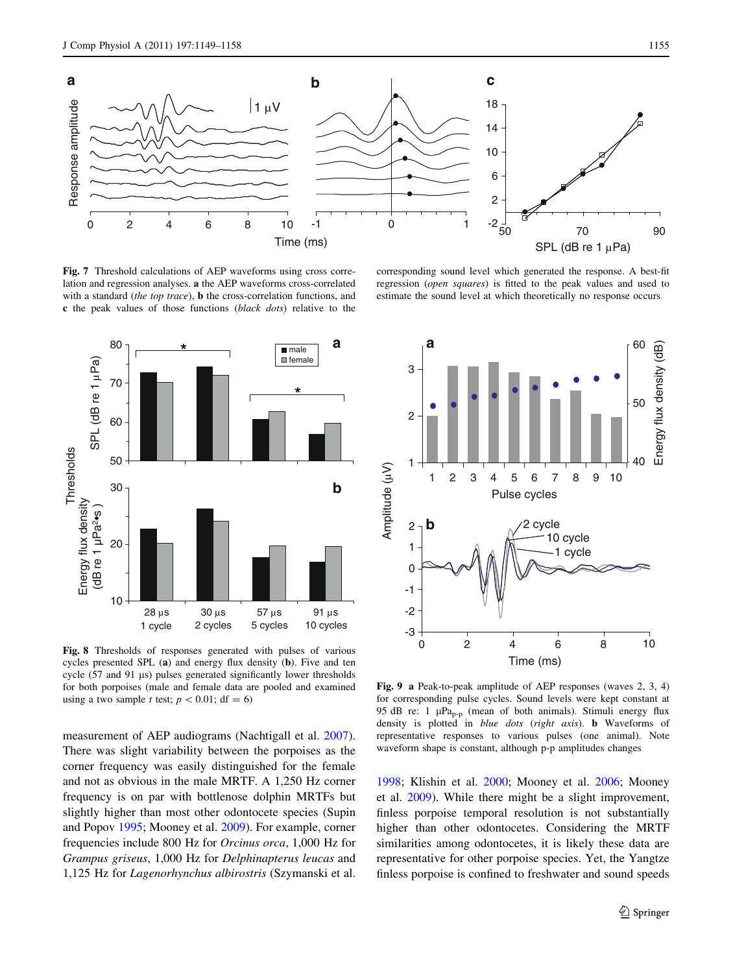<span id="page-6-0"></span>

Fig. 7 Threshold calculations of AEP waveforms using cross correlation and regression analyses. a the AEP waveforms cross-correlated with a standard (the top trace), **b** the cross-correlation functions, and c the peak values of those functions (black dots) relative to the



Fig. 8 Thresholds of responses generated with pulses of various cycles presented SPL (a) and energy flux density (b). Five and ten cycle (57 and 91 µs) pulses generated significantly lower thresholds for both porpoises (male and female data are pooled and examined using a two sample t test;  $p < 0.01$ ; df = 6)

measurement of AEP audiograms (Nachtigall et al. [2007](#page-8-0)). There was slight variability between the porpoises as the corner frequency was easily distinguished for the female and not as obvious in the male MRTF. A 1,250 Hz corner frequency is on par with bottlenose dolphin MRTFs but slightly higher than most other odontocete species (Supin and Popov [1995](#page-9-0); Mooney et al. [2009\)](#page-8-0). For example, corner frequencies include 800 Hz for Orcinus orca, 1,000 Hz for Grampus griseus, 1,000 Hz for Delphinapterus leucas and 1,125 Hz for Lagenorhynchus albirostris (Szymanski et al.

corresponding sound level which generated the response. A best-fit regression (open squares) is fitted to the peak values and used to estimate the sound level at which theoretically no response occurs



Fig. 9 a Peak-to-peak amplitude of AEP responses (waves 2, 3, 4) for corresponding pulse cycles. Sound levels were kept constant at 95 dB re: 1  $\mu$ Pa<sub>p-p</sub> (mean of both animals). Stimuli energy flux density is plotted in blue dots (right axis). b Waveforms of representative responses to various pulses (one animal). Note waveform shape is constant, although p-p amplitudes changes

[1998](#page-9-0); Klishin et al. [2000](#page-8-0); Mooney et al. [2006;](#page-8-0) Mooney et al. [2009\)](#page-8-0). While there might be a slight improvement, finless porpoise temporal resolution is not substantially higher than other odontocetes. Considering the MRTF similarities among odontocetes, it is likely these data are representative for other porpoise species. Yet, the Yangtze finless porpoise is confined to freshwater and sound speeds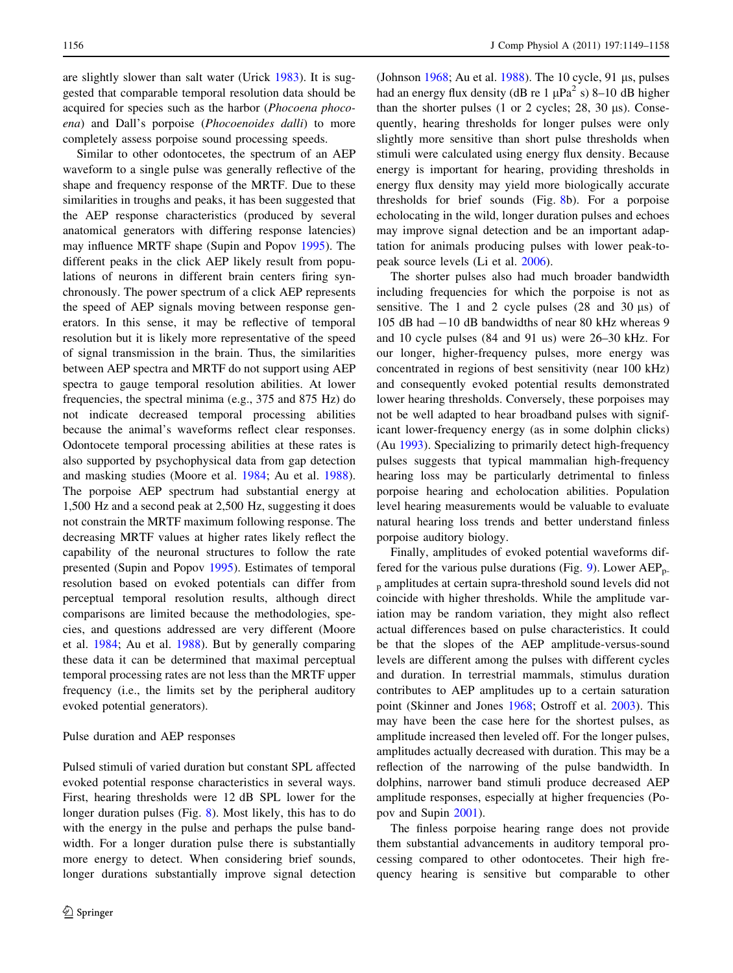are slightly slower than salt water (Urick [1983](#page-9-0)). It is suggested that comparable temporal resolution data should be acquired for species such as the harbor (Phocoena phocoena) and Dall's porpoise (Phocoenoides dalli) to more completely assess porpoise sound processing speeds.

Similar to other odontocetes, the spectrum of an AEP waveform to a single pulse was generally reflective of the shape and frequency response of the MRTF. Due to these similarities in troughs and peaks, it has been suggested that the AEP response characteristics (produced by several anatomical generators with differing response latencies) may influence MRTF shape (Supin and Popov [1995](#page-9-0)). The different peaks in the click AEP likely result from populations of neurons in different brain centers firing synchronously. The power spectrum of a click AEP represents the speed of AEP signals moving between response generators. In this sense, it may be reflective of temporal resolution but it is likely more representative of the speed of signal transmission in the brain. Thus, the similarities between AEP spectra and MRTF do not support using AEP spectra to gauge temporal resolution abilities. At lower frequencies, the spectral minima (e.g., 375 and 875 Hz) do not indicate decreased temporal processing abilities because the animal's waveforms reflect clear responses. Odontocete temporal processing abilities at these rates is also supported by psychophysical data from gap detection and masking studies (Moore et al. [1984](#page-8-0); Au et al. [1988](#page-8-0)). The porpoise AEP spectrum had substantial energy at 1,500 Hz and a second peak at 2,500 Hz, suggesting it does not constrain the MRTF maximum following response. The decreasing MRTF values at higher rates likely reflect the capability of the neuronal structures to follow the rate presented (Supin and Popov [1995\)](#page-9-0). Estimates of temporal resolution based on evoked potentials can differ from perceptual temporal resolution results, although direct comparisons are limited because the methodologies, species, and questions addressed are very different (Moore et al. [1984;](#page-8-0) Au et al. [1988](#page-8-0)). But by generally comparing these data it can be determined that maximal perceptual temporal processing rates are not less than the MRTF upper frequency (i.e., the limits set by the peripheral auditory evoked potential generators).

## Pulse duration and AEP responses

Pulsed stimuli of varied duration but constant SPL affected evoked potential response characteristics in several ways. First, hearing thresholds were 12 dB SPL lower for the longer duration pulses (Fig. [8](#page-6-0)). Most likely, this has to do with the energy in the pulse and perhaps the pulse bandwidth. For a longer duration pulse there is substantially more energy to detect. When considering brief sounds, longer durations substantially improve signal detection

(Johnson  $1968$ ; Au et al. [1988\)](#page-8-0). The 10 cycle, 91 us, pulses had an energy flux density (dB re 1  $\mu$ Pa<sup>2</sup> s) 8–10 dB higher than the shorter pulses  $(1 \text{ or } 2 \text{ cycles}; 28, 30 \text{ µs})$ . Consequently, hearing thresholds for longer pulses were only slightly more sensitive than short pulse thresholds when stimuli were calculated using energy flux density. Because energy is important for hearing, providing thresholds in energy flux density may yield more biologically accurate thresholds for brief sounds (Fig. [8](#page-6-0)b). For a porpoise echolocating in the wild, longer duration pulses and echoes may improve signal detection and be an important adaptation for animals producing pulses with lower peak-topeak source levels (Li et al. [2006\)](#page-8-0).

The shorter pulses also had much broader bandwidth including frequencies for which the porpoise is not as sensitive. The 1 and 2 cycle pulses  $(28 \text{ and } 30 \text{ }\mu\text{s})$  of 105 dB had -10 dB bandwidths of near 80 kHz whereas 9 and 10 cycle pulses (84 and 91 us) were 26–30 kHz. For our longer, higher-frequency pulses, more energy was concentrated in regions of best sensitivity (near 100 kHz) and consequently evoked potential results demonstrated lower hearing thresholds. Conversely, these porpoises may not be well adapted to hear broadband pulses with significant lower-frequency energy (as in some dolphin clicks) (Au [1993](#page-8-0)). Specializing to primarily detect high-frequency pulses suggests that typical mammalian high-frequency hearing loss may be particularly detrimental to finless porpoise hearing and echolocation abilities. Population level hearing measurements would be valuable to evaluate natural hearing loss trends and better understand finless porpoise auditory biology.

Finally, amplitudes of evoked potential waveforms dif-fered for the various pulse durations (Fig. [9\)](#page-6-0). Lower  $AEP_{p-}$ <sup>p</sup> amplitudes at certain supra-threshold sound levels did not coincide with higher thresholds. While the amplitude variation may be random variation, they might also reflect actual differences based on pulse characteristics. It could be that the slopes of the AEP amplitude-versus-sound levels are different among the pulses with different cycles and duration. In terrestrial mammals, stimulus duration contributes to AEP amplitudes up to a certain saturation point (Skinner and Jones [1968;](#page-9-0) Ostroff et al. [2003\)](#page-8-0). This may have been the case here for the shortest pulses, as amplitude increased then leveled off. For the longer pulses, amplitudes actually decreased with duration. This may be a reflection of the narrowing of the pulse bandwidth. In dolphins, narrower band stimuli produce decreased AEP amplitude responses, especially at higher frequencies (Popov and Supin [2001\)](#page-8-0).

The finless porpoise hearing range does not provide them substantial advancements in auditory temporal processing compared to other odontocetes. Their high frequency hearing is sensitive but comparable to other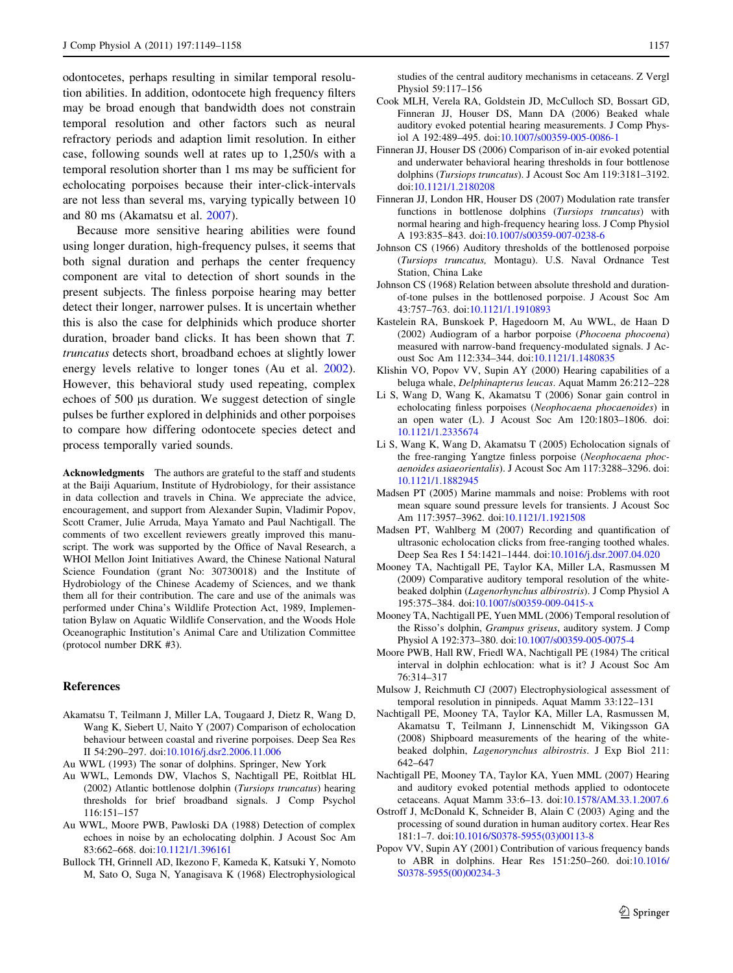<span id="page-8-0"></span>odontocetes, perhaps resulting in similar temporal resolution abilities. In addition, odontocete high frequency filters may be broad enough that bandwidth does not constrain temporal resolution and other factors such as neural refractory periods and adaption limit resolution. In either case, following sounds well at rates up to 1,250/s with a temporal resolution shorter than 1 ms may be sufficient for echolocating porpoises because their inter-click-intervals are not less than several ms, varying typically between 10 and 80 ms (Akamatsu et al. 2007).

Because more sensitive hearing abilities were found using longer duration, high-frequency pulses, it seems that both signal duration and perhaps the center frequency component are vital to detection of short sounds in the present subjects. The finless porpoise hearing may better detect their longer, narrower pulses. It is uncertain whether this is also the case for delphinids which produce shorter duration, broader band clicks. It has been shown that T. truncatus detects short, broadband echoes at slightly lower energy levels relative to longer tones (Au et al. 2002). However, this behavioral study used repeating, complex echoes of 500 µs duration. We suggest detection of single pulses be further explored in delphinids and other porpoises to compare how differing odontocete species detect and process temporally varied sounds.

Acknowledgments The authors are grateful to the staff and students at the Baiji Aquarium, Institute of Hydrobiology, for their assistance in data collection and travels in China. We appreciate the advice, encouragement, and support from Alexander Supin, Vladimir Popov, Scott Cramer, Julie Arruda, Maya Yamato and Paul Nachtigall. The comments of two excellent reviewers greatly improved this manuscript. The work was supported by the Office of Naval Research, a WHOI Mellon Joint Initiatives Award, the Chinese National Natural Science Foundation (grant No: 30730018) and the Institute of Hydrobiology of the Chinese Academy of Sciences, and we thank them all for their contribution. The care and use of the animals was performed under China's Wildlife Protection Act, 1989, Implementation Bylaw on Aquatic Wildlife Conservation, and the Woods Hole Oceanographic Institution's Animal Care and Utilization Committee (protocol number DRK #3).

#### References

- Akamatsu T, Teilmann J, Miller LA, Tougaard J, Dietz R, Wang D, Wang K, Siebert U, Naito Y (2007) Comparison of echolocation behaviour between coastal and riverine porpoises. Deep Sea Res II 54:290–297. doi[:10.1016/j.dsr2.2006.11.006](http://dx.doi.org/10.1016/j.dsr2.2006.11.006)
- Au WWL (1993) The sonar of dolphins. Springer, New York
- Au WWL, Lemonds DW, Vlachos S, Nachtigall PE, Roitblat HL (2002) Atlantic bottlenose dolphin (Tursiops truncatus) hearing thresholds for brief broadband signals. J Comp Psychol 116:151–157
- Au WWL, Moore PWB, Pawloski DA (1988) Detection of complex echoes in noise by an echolocating dolphin. J Acoust Soc Am 83:662–668. doi:[10.1121/1.396161](http://dx.doi.org/10.1121/1.396161)
- Bullock TH, Grinnell AD, Ikezono F, Kameda K, Katsuki Y, Nomoto M, Sato O, Suga N, Yanagisava K (1968) Electrophysiological

studies of the central auditory mechanisms in cetaceans. Z Vergl Physiol 59:117–156

- Cook MLH, Verela RA, Goldstein JD, McCulloch SD, Bossart GD, Finneran JJ, Houser DS, Mann DA (2006) Beaked whale auditory evoked potential hearing measurements. J Comp Physiol A 192:489–495. doi:[10.1007/s00359-005-0086-1](http://dx.doi.org/10.1007/s00359-005-0086-1)
- Finneran JJ, Houser DS (2006) Comparison of in-air evoked potential and underwater behavioral hearing thresholds in four bottlenose dolphins (Tursiops truncatus). J Acoust Soc Am 119:3181–3192. doi[:10.1121/1.2180208](http://dx.doi.org/10.1121/1.2180208)
- Finneran JJ, London HR, Houser DS (2007) Modulation rate transfer functions in bottlenose dolphins (Tursiops truncatus) with normal hearing and high-frequency hearing loss. J Comp Physiol A 193:835–843. doi:[10.1007/s00359-007-0238-6](http://dx.doi.org/10.1007/s00359-007-0238-6)
- Johnson CS (1966) Auditory thresholds of the bottlenosed porpoise (Tursiops truncatus, Montagu). U.S. Naval Ordnance Test Station, China Lake
- Johnson CS (1968) Relation between absolute threshold and durationof-tone pulses in the bottlenosed porpoise. J Acoust Soc Am 43:757–763. doi:[10.1121/1.1910893](http://dx.doi.org/10.1121/1.1910893)
- Kastelein RA, Bunskoek P, Hagedoorn M, Au WWL, de Haan D (2002) Audiogram of a harbor porpoise (Phocoena phocoena) measured with narrow-band frequency-modulated signals. J Acoust Soc Am 112:334–344. doi[:10.1121/1.1480835](http://dx.doi.org/10.1121/1.1480835)
- Klishin VO, Popov VV, Supin AY (2000) Hearing capabilities of a beluga whale, Delphinapterus leucas. Aquat Mamm 26:212–228
- Li S, Wang D, Wang K, Akamatsu T (2006) Sonar gain control in echolocating finless porpoises (Neophocaena phocaenoides) in an open water (L). J Acoust Soc Am 120:1803–1806. doi: [10.1121/1.2335674](http://dx.doi.org/10.1121/1.2335674)
- Li S, Wang K, Wang D, Akamatsu T (2005) Echolocation signals of the free-ranging Yangtze finless porpoise (Neophocaena phocaenoides asiaeorientalis). J Acoust Soc Am 117:3288–3296. doi: [10.1121/1.1882945](http://dx.doi.org/10.1121/1.1882945)
- Madsen PT (2005) Marine mammals and noise: Problems with root mean square sound pressure levels for transients. J Acoust Soc Am 117:3957–3962. doi[:10.1121/1.1921508](http://dx.doi.org/10.1121/1.1921508)
- Madsen PT, Wahlberg M (2007) Recording and quantification of ultrasonic echolocation clicks from free-ranging toothed whales. Deep Sea Res I 54:1421–1444. doi[:10.1016/j.dsr.2007.04.020](http://dx.doi.org/10.1016/j.dsr.2007.04.020)
- Mooney TA, Nachtigall PE, Taylor KA, Miller LA, Rasmussen M (2009) Comparative auditory temporal resolution of the whitebeaked dolphin (Lagenorhynchus albirostris). J Comp Physiol A 195:375–384. doi[:10.1007/s00359-009-0415-x](http://dx.doi.org/10.1007/s00359-009-0415-x)
- Mooney TA, Nachtigall PE, Yuen MML (2006) Temporal resolution of the Risso's dolphin, Grampus griseus, auditory system. J Comp Physiol A 192:373–380. doi[:10.1007/s00359-005-0075-4](http://dx.doi.org/10.1007/s00359-005-0075-4)
- Moore PWB, Hall RW, Friedl WA, Nachtigall PE (1984) The critical interval in dolphin echlocation: what is it? J Acoust Soc Am 76:314–317
- Mulsow J, Reichmuth CJ (2007) Electrophysiological assessment of temporal resolution in pinnipeds. Aquat Mamm 33:122–131
- Nachtigall PE, Mooney TA, Taylor KA, Miller LA, Rasmussen M, Akamatsu T, Teilmann J, Linnenschidt M, Vikingsson GA (2008) Shipboard measurements of the hearing of the whitebeaked dolphin, Lagenorynchus albirostris. J Exp Biol 211: 642–647
- Nachtigall PE, Mooney TA, Taylor KA, Yuen MML (2007) Hearing and auditory evoked potential methods applied to odontocete cetaceans. Aquat Mamm 33:6–13. doi:[10.1578/AM.33.1.2007.6](http://dx.doi.org/10.1578/AM.33.1.2007.6)
- Ostroff J, McDonald K, Schneider B, Alain C (2003) Aging and the processing of sound duration in human auditory cortex. Hear Res 181:1–7. doi[:10.1016/S0378-5955\(03\)00113-8](http://dx.doi.org/10.1016/S0378-5955(03)00113-8)
- Popov VV, Supin AY (2001) Contribution of various frequency bands to ABR in dolphins. Hear Res 151:250–260. doi[:10.1016/](http://dx.doi.org/10.1016/S0378-5955(00)00234-3) [S0378-5955\(00\)00234-3](http://dx.doi.org/10.1016/S0378-5955(00)00234-3)